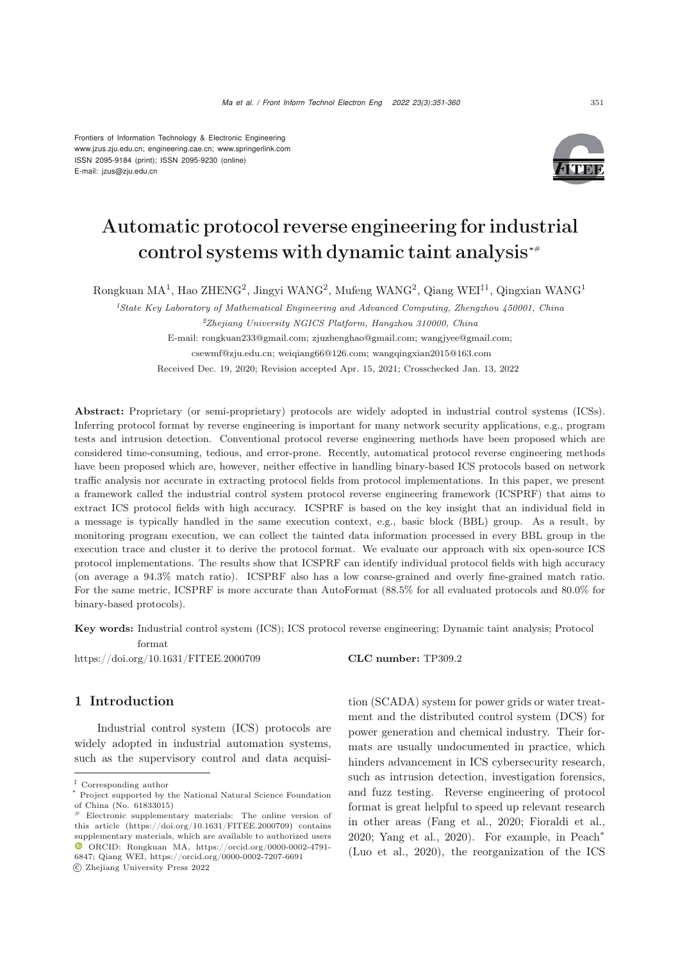Frontiers of Information Technology & Electronic Engineering www.jzus.zju.edu.cn; engineering.cae.cn; www.springerlink.com ISSN 2095-9184 (print); ISSN 2095-9230 (online) E-mail: jzus@zju.edu.cn



# Automatic protocol reverse engineering for industrial control systems with dynamic taint analysis*∗*#

Rongkuan MA<sup>1</sup>, Hao ZHENG<sup>2</sup>, Jingyi WANG<sup>2</sup>, Mufeng WANG<sup>2</sup>, Qiang WEI‡<sup>1</sup>, Qingxian WANG<sup>1</sup>

<sup>1</sup>*State Key Laboratory of Mathematical Engineering and Advanced Computing, Zhengzhou 450001, China* <sup>2</sup>*Zhejiang University NGICS Platform, Hangzhou 310000, China* E-mail: rongkuan233@gmail.com; zjuzhenghao@gmail.com; wangjyee@gmail.com;

csewmf@zju.edu.cn; weiqiang66@126.com; wangqingxian2015@163.com

Received Dec. 19, 2020; Revision accepted Apr. 15, 2021; Crosschecked Jan. 13, 2022

Abstract: Proprietary (or semi-proprietary) protocols are widely adopted in industrial control systems (ICSs). Inferring protocol format by reverse engineering is important for many network security applications, e.g., program tests and intrusion detection. Conventional protocol reverse engineering methods have been proposed which are considered time-consuming, tedious, and error-prone. Recently, automatical protocol reverse engineering methods have been proposed which are, however, neither effective in handling binary-based ICS protocols based on network traffic analysis nor accurate in extracting protocol fields from protocol implementations. In this paper, we present a framework called the industrial control system protocol reverse engineering framework (ICSPRF) that aims to extract ICS protocol fields with high accuracy. ICSPRF is based on the key insight that an individual field in a message is typically handled in the same execution context, e.g., basic block (BBL) group. As a result, by monitoring program execution, we can collect the tainted data information processed in every BBL group in the execution trace and cluster it to derive the protocol format. We evaluate our approach with six open-source ICS protocol implementations. The results show that ICSPRF can identify individual protocol fields with high accuracy (on average a 94.3% match ratio). ICSPRF also has a low coarse-grained and overly fine-grained match ratio. For the same metric, ICSPRF is more accurate than AutoFormat  $(88.5\%$  for all evaluated protocols and  $80.0\%$  for binary-based protocols).

Key words: Industrial control system (ICS); ICS protocol reverse engineering; Dynamic taint analysis; Protocol format

https://doi.org/10.1631/FITEE.2000709 **CLC number:** TP309.2

### 1 Introduction

Industrial control system (ICS) protocols are widely adopted in industrial automation systems, such as the supervisory control and data acquisi-

-c Zhejiang University Press 2022

tion (SCADA) system for power grids or water treatment and the distributed control system (DCS) for power generation and chemical industry. Their formats are usually undocumented in practice, which hinders advancement in ICS cybersecurity research, such as intrusion detection, investigation forensics, and fuzz testing. Reverse engineering of protocol format is great helpful to speed up relevant research in other areas (Fang et al., 2020; Fioraldi et al., 2020; Yang et al., 2020). For example, in Peach<sup>∗</sup> (Luo et al., 2020), the reorganization of the ICS

<sup>‡</sup> Corresponding author

<sup>\*</sup> Project supported by the National Natural Science Foundation of China (No. 61833015)

 $#$  Electronic supplementary materials: The online version of this article (https://doi.org/10.1631/FITEE.2000709) contains supplementary materials, which are available to authorized users ORCID: Rongkuan MA, https://orcid.org/0000-0002-4791- 6847; Qiang WEI, https://orcid.org/0000-0002-7207-6691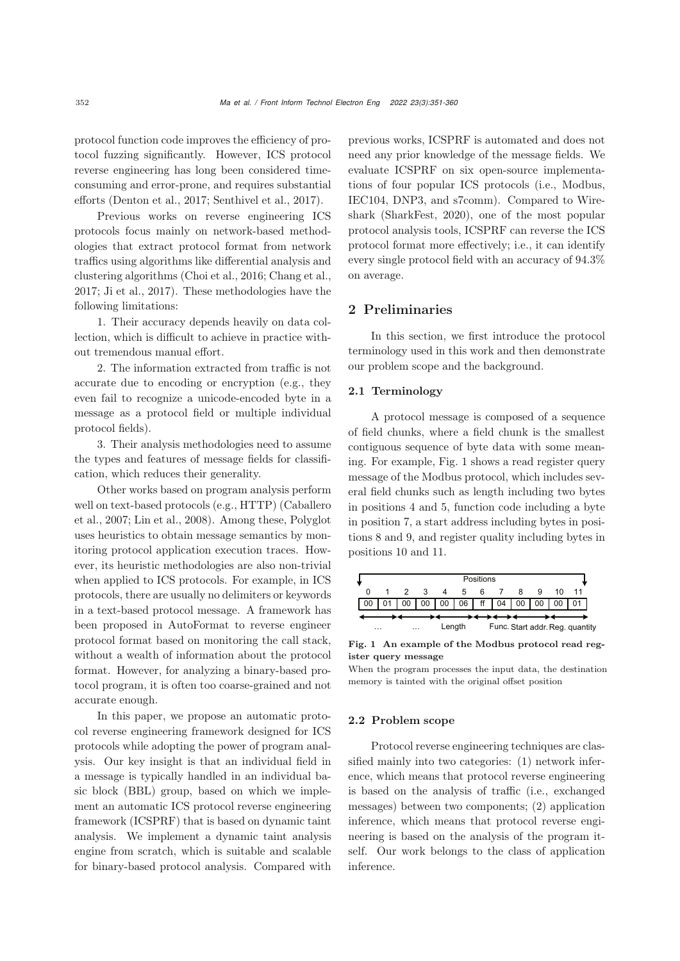protocol function code improves the efficiency of protocol fuzzing significantly. However, ICS protocol reverse engineering has long been considered timeconsuming and error-prone, and requires substantial efforts (Denton et al., 2017; Senthivel et al., 2017).

Previous works on reverse engineering ICS protocols focus mainly on network-based methodologies that extract protocol format from network traffics using algorithms like differential analysis and clustering algorithms (Choi et al., 2016; Chang et al., 2017; Ji et al., 2017). These methodologies have the following limitations:

1. Their accuracy depends heavily on data collection, which is difficult to achieve in practice without tremendous manual effort.

2. The information extracted from traffic is not accurate due to encoding or encryption (e.g., they even fail to recognize a unicode-encoded byte in a message as a protocol field or multiple individual protocol fields).

3. Their analysis methodologies need to assume the types and features of message fields for classification, which reduces their generality.

Other works based on program analysis perform well on text-based protocols (e.g., HTTP) (Caballero et al., 2007; Lin et al., 2008). Among these, Polyglot uses heuristics to obtain message semantics by monitoring protocol application execution traces. However, its heuristic methodologies are also non-trivial when applied to ICS protocols. For example, in ICS protocols, there are usually no delimiters or keywords in a text-based protocol message. A framework has been proposed in AutoFormat to reverse engineer protocol format based on monitoring the call stack, without a wealth of information about the protocol format. However, for analyzing a binary-based protocol program, it is often too coarse-grained and not accurate enough.

In this paper, we propose an automatic protocol reverse engineering framework designed for ICS protocols while adopting the power of program analysis. Our key insight is that an individual field in a message is typically handled in an individual basic block (BBL) group, based on which we implement an automatic ICS protocol reverse engineering framework (ICSPRF) that is based on dynamic taint analysis. We implement a dynamic taint analysis engine from scratch, which is suitable and scalable for binary-based protocol analysis. Compared with

previous works, ICSPRF is automated and does not need any prior knowledge of the message fields. We evaluate ICSPRF on six open-source implementations of four popular ICS protocols (i.e., Modbus, IEC104, DNP3, and s7comm). Compared to Wireshark (SharkFest, 2020), one of the most popular protocol analysis tools, ICSPRF can reverse the ICS protocol format more effectively; i.e., it can identify every single protocol field with an accuracy of 94.3% on average.

## 2 Preliminaries

In this section, we first introduce the protocol terminology used in this work and then demonstrate our problem scope and the background.

### 2.1 Terminology

A protocol message is composed of a sequence of field chunks, where a field chunk is the smallest contiguous sequence of byte data with some meaning. For example, Fig. 1 shows a read register query message of the Modbus protocol, which includes several field chunks such as length including two bytes in positions 4 and 5, function code including a byte in position 7, a start address including bytes in positions 8 and 9, and register quality including bytes in positions 10 and 11.

|                      | Positions |  |    |                 |                 |   |                                 |    |  |    |  |  |  |  |
|----------------------|-----------|--|----|-----------------|-----------------|---|---------------------------------|----|--|----|--|--|--|--|
|                      |           |  |    | 4               | 5               | 6 |                                 |    |  | 10 |  |  |  |  |
|                      |           |  | 00 | 00 <sup>1</sup> | 06 <sup>1</sup> |   | ff $\vert 04 \vert$             | 00 |  | 00 |  |  |  |  |
|                      |           |  |    |                 |                 |   |                                 |    |  |    |  |  |  |  |
| $\cdots$<br>$\cdots$ |           |  |    | Length          |                 |   | Func. Start addr. Reg. quantity |    |  |    |  |  |  |  |

Fig. 1 An example of the Modbus protocol read register query message

When the program processes the input data, the destination memory is tainted with the original offset position

### 2.2 Problem scope

Protocol reverse engineering techniques are classified mainly into two categories: (1) network inference, which means that protocol reverse engineering is based on the analysis of traffic (i.e., exchanged messages) between two components; (2) application inference, which means that protocol reverse engineering is based on the analysis of the program itself. Our work belongs to the class of application inference.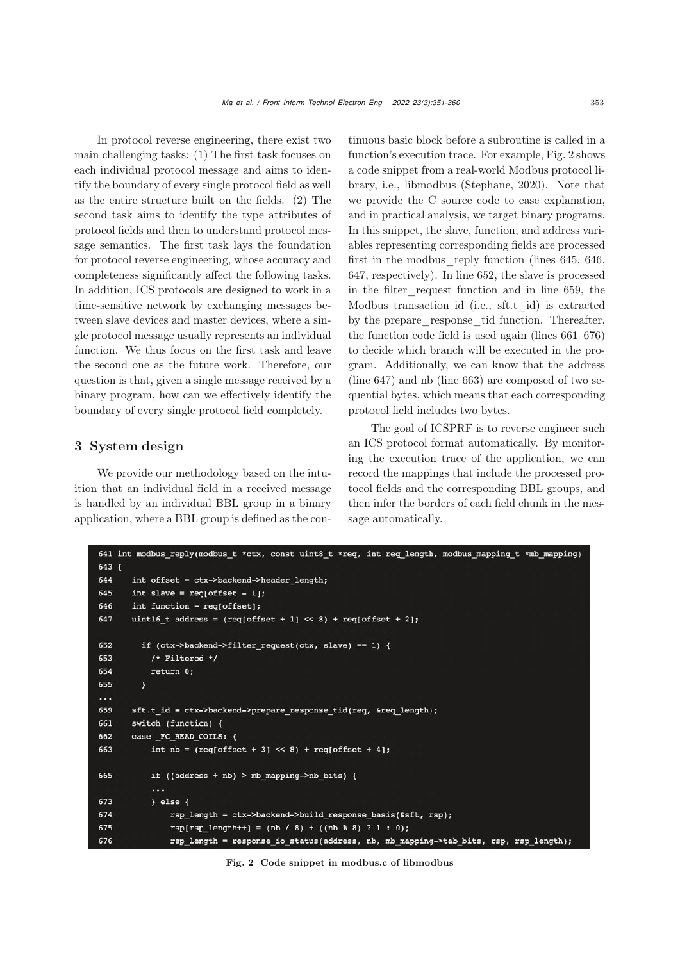In protocol reverse engineering, there exist two main challenging tasks: (1) The first task focuses on each individual protocol message and aims to identify the boundary of every single protocol field as well as the entire structure built on the fields. (2) The second task aims to identify the type attributes of protocol fields and then to understand protocol message semantics. The first task lays the foundation for protocol reverse engineering, whose accuracy and completeness significantly affect the following tasks. In addition, ICS protocols are designed to work in a time-sensitive network by exchanging messages between slave devices and master devices, where a single protocol message usually represents an individual function. We thus focus on the first task and leave the second one as the future work. Therefore, our question is that, given a single message received by a binary program, how can we effectively identify the boundary of every single protocol field completely.

# 3 System design

We provide our methodology based on the intuition that an individual field in a received message is handled by an individual BBL group in a binary application, where a BBL group is defined as the continuous basic block before a subroutine is called in a function's execution trace. For example, Fig. 2 shows a code snippet from a real-world Modbus protocol library, i.e., libmodbus (Stephane, 2020). Note that we provide the C source code to ease explanation, and in practical analysis, we target binary programs. In this snippet, the slave, function, and address variables representing corresponding fields are processed first in the modbus\_reply function (lines 645, 646, 647, respectively). In line 652, the slave is processed in the filter\_request function and in line 659, the Modbus transaction id (i.e., sft.t\_id) is extracted by the prepare response tid function. Thereafter, the function code field is used again (lines 661–676) to decide which branch will be executed in the program. Additionally, we can know that the address (line 647) and nb (line 663) are composed of two sequential bytes, which means that each corresponding protocol field includes two bytes.

The goal of ICSPRF is to reverse engineer such an ICS protocol format automatically. By monitoring the execution trace of the application, we can record the mappings that include the processed protocol fields and the corresponding BBL groups, and then infer the borders of each field chunk in the message automatically.

```
641 int modbus reply(modbus_t *ctx, const uint8_t *req, int req length, modbus mapping t *mb mapping)
643f644
       int offset = ctx->backend->header length;
645
       int slave = req[offset - 1];
       int function = req[offset];646
       uint16 t address = reg[offset + 1] \ll 8) + reg[offset + 2];
647
652
         if (ctx->backend->filter_request(ctx, slave) == 1) {
653
            /* Filtered */
654
           return 0;
655
         \overline{\mathbf{r}}\ddotsc659
       sft.t id = ctx->backend->prepare response tid(req, &req length);
661
       switch (function) {
662
       case FC READ COILS: {
663
           int nb = (\text{req[offset + 3]} \le 8) + \text{req[offset + 4]};
665
           if ((address + nb) > mb_mapping->nb_bits) {
673
           \} else {
674
                rsp_length = ctx->backend->build_response_basis(&sft, rsp);
675
                rsp[rsp_length++] = (nb / 8) + ((nb % 8) ? 1 : 0);676
                rsp_length = response_io_status(address, nb, mb_mapping->tab_bits, rsp, rsp_length);
```
Fig. 2 Code snippet in modbus.c of libmodbus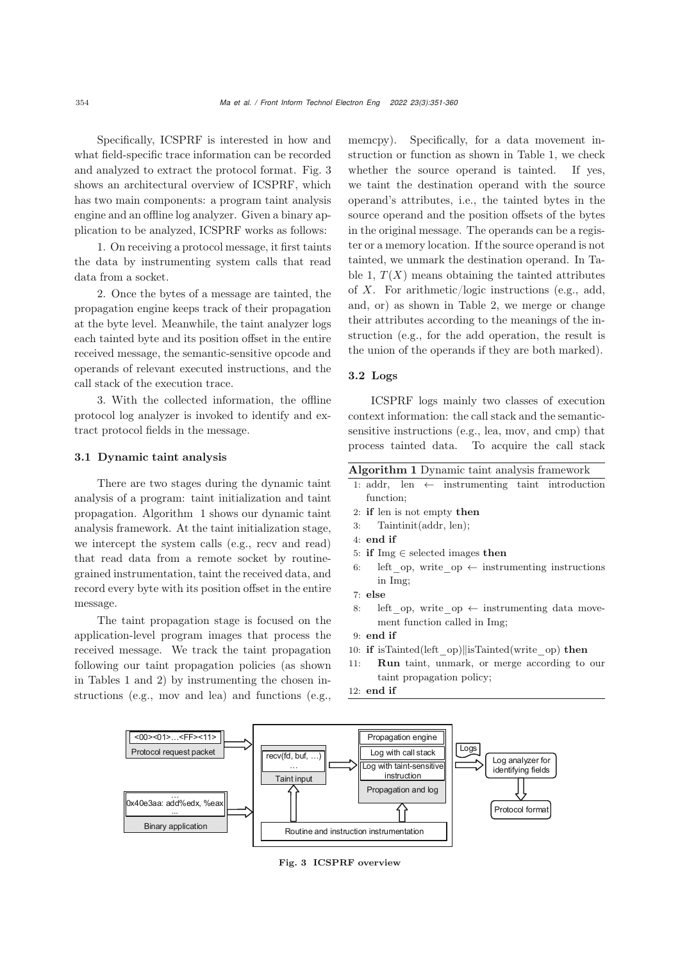Specifically, ICSPRF is interested in how and what field-specific trace information can be recorded and analyzed to extract the protocol format. Fig. 3 shows an architectural overview of ICSPRF, which has two main components: a program taint analysis engine and an offline log analyzer. Given a binary application to be analyzed, ICSPRF works as follows:

1. On receiving a protocol message, it first taints the data by instrumenting system calls that read data from a socket.

2. Once the bytes of a message are tainted, the propagation engine keeps track of their propagation at the byte level. Meanwhile, the taint analyzer logs each tainted byte and its position offset in the entire received message, the semantic-sensitive opcode and operands of relevant executed instructions, and the call stack of the execution trace.

3. With the collected information, the offline protocol log analyzer is invoked to identify and extract protocol fields in the message.

### 3.1 Dynamic taint analysis

There are two stages during the dynamic taint analysis of a program: taint initialization and taint propagation. Algorithm 1 shows our dynamic taint analysis framework. At the taint initialization stage, we intercept the system calls (e.g., recv and read) that read data from a remote socket by routinegrained instrumentation, taint the received data, and record every byte with its position offset in the entire message.

The taint propagation stage is focused on the application-level program images that process the received message. We track the taint propagation following our taint propagation policies (as shown in Tables 1 and 2) by instrumenting the chosen instructions (e.g., mov and lea) and functions (e.g.,

memcpy). Specifically, for a data movement instruction or function as shown in Table 1, we check whether the source operand is tainted. If yes, we taint the destination operand with the source operand's attributes, i.e., the tainted bytes in the source operand and the position offsets of the bytes in the original message. The operands can be a register or a memory location. If the source operand is not tainted, we unmark the destination operand. In Table 1,  $T(X)$  means obtaining the tainted attributes of  $X$ . For arithmetic/logic instructions (e.g., add, and, or) as shown in Table 2, we merge or change their attributes according to the meanings of the instruction (e.g., for the add operation, the result is the union of the operands if they are both marked).

### 3.2 Logs

ICSPRF logs mainly two classes of execution context information: the call stack and the semanticsensitive instructions (e.g., lea, mov, and cmp) that process tainted data. To acquire the call stack

| Algorithm 1 Dynamic taint analysis framework |  |  |  |
|----------------------------------------------|--|--|--|
|                                              |  |  |  |

- 1: addr, len  $\leftarrow$  instrumenting taint introduction function;
- 2: if len is not empty then
- 3: Taintinit(addr, len);
- 4: end if
- 5: if Img  $\in$  selected images then
- 6: left op, write op  $\leftarrow$  instrumenting instructions in Img;
- 7: else
- 8: left op, write op  $\leftarrow$  instrumenting data movement function called in Img;
- 9: end if
- 10: if isTainted(left op)||isTainted(write op) then
- 11: Run taint, unmark, or merge according to our taint propagation policy;

12: end if



Fig. 3 ICSPRF overview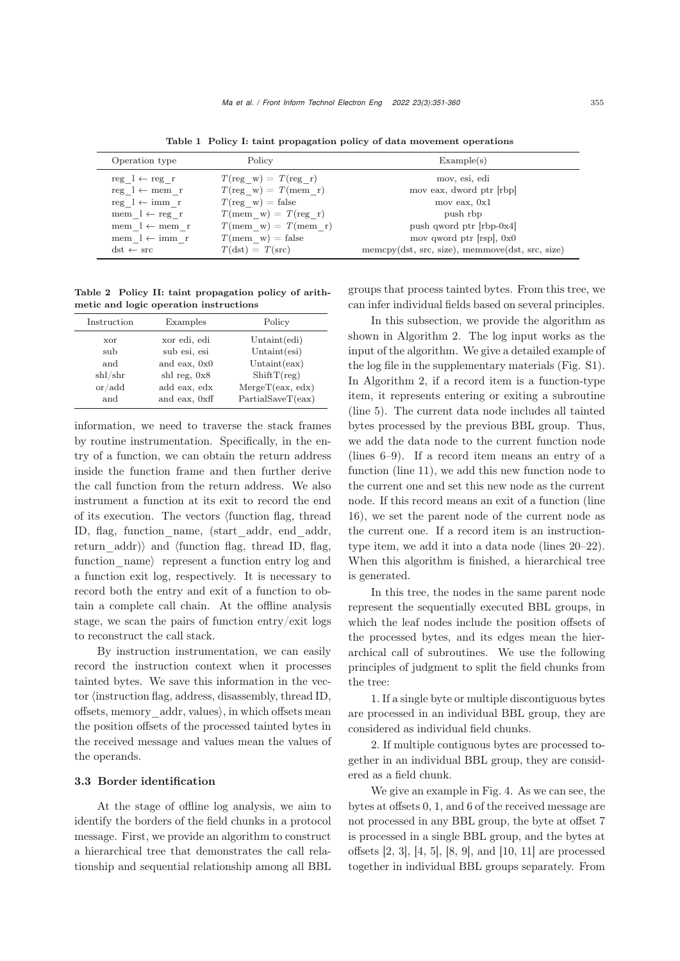| Operation type                   | Policy                                | Example(s)                                      |
|----------------------------------|---------------------------------------|-------------------------------------------------|
| $reg \, l \leftarrow reg \, r$   | $T(\text{reg } w) = T(\text{reg } r)$ | mov, esi, edi                                   |
| $reg \, l \leftarrow mem \, r$   | $T(\text{reg } w) = T(\text{mem } r)$ | mov eax, dword ptr [rbp]                        |
| $reg \, l \leftarrow imm \, r$   | $T(\text{reg } w) = \text{false}$     | mov eax, $0x1$                                  |
| mem $l \leftarrow \text{reg } r$ | $T(\text{mem } w) = T(\text{reg } r)$ | push rbp                                        |
| mem $l \leftarrow$ mem r         | $T(\text{mem } w) = T(\text{mem } r)$ | push qword ptr $[$ rbp-0 $x4]$                  |
| mem $l \leftarrow \text{imm } r$ | $T(\text{mem}_w) = \text{false}$      | mov qword ptr $[{\rm rsp}]$ , 0x0               |
| $dst \leftarrow src$             | $T(\text{dst}) = T(\text{src})$       | memcpy(dst, src, size), memmove(dst, src, size) |

Table 1 Policy I: taint propagation policy of data movement operations

Table 2 Policy II: taint propagation policy of arithmetic and logic operation instructions

| Instruction                       | Examples       | Policy           |
|-----------------------------------|----------------|------------------|
| xor                               | xor edi, edi   | Unit(edi)        |
| sub                               | sub esi, esi   | Untaint $(esi)$  |
| and                               | and eax, 0x0   | Unit(ex)         |
| shl/shr                           | shl reg, $0x8$ | ShiftT(reg)      |
| $\alpha$ or $\alpha$ and $\alpha$ | add eax, edx   | MergeT(ex, edx)  |
| and                               | and eax, 0xff  | PartialSaveT(ex) |

information, we need to traverse the stack frames by routine instrumentation. Specifically, in the entry of a function, we can obtain the return address inside the function frame and then further derive the call function from the return address. We also instrument a function at its exit to record the end of its execution. The vectors  $\{\text{function flag, thread}\}$ ID, flag, function\_name, (start\_addr, end\_addr, return\_addr)\ and \tfunction flag, thread ID, flag, function  $\theta$  represent a function entry log and a function exit log, respectively. It is necessary to record both the entry and exit of a function to obtain a complete call chain. At the offline analysis stage, we scan the pairs of function entry/exit logs to reconstruct the call stack.

By instruction instrumentation, we can easily record the instruction context when it processes tainted bytes. We save this information in the vec- $\chi$  tor  $\langle$  instruction flag, address, disassembly, thread ID, offsets, memory\_addr, values, in which offsets mean the position offsets of the processed tainted bytes in the received message and values mean the values of the operands.

### 3.3 Border identification

At the stage of offline log analysis, we aim to identify the borders of the field chunks in a protocol message. First, we provide an algorithm to construct a hierarchical tree that demonstrates the call relationship and sequential relationship among all BBL

groups that process tainted bytes. From this tree, we can infer individual fields based on several principles.

In this subsection, we provide the algorithm as shown in Algorithm 2. The log input works as the input of the algorithm. We give a detailed example of the log file in the supplementary materials (Fig. S1). In Algorithm 2, if a record item is a function-type item, it represents entering or exiting a subroutine (line 5). The current data node includes all tainted bytes processed by the previous BBL group. Thus, we add the data node to the current function node (lines 6–9). If a record item means an entry of a function (line 11), we add this new function node to the current one and set this new node as the current node. If this record means an exit of a function (line 16), we set the parent node of the current node as the current one. If a record item is an instructiontype item, we add it into a data node (lines 20–22). When this algorithm is finished, a hierarchical tree is generated.

In this tree, the nodes in the same parent node represent the sequentially executed BBL groups, in which the leaf nodes include the position offsets of the processed bytes, and its edges mean the hierarchical call of subroutines. We use the following principles of judgment to split the field chunks from the tree:

1. If a single byte or multiple discontiguous bytes are processed in an individual BBL group, they are considered as individual field chunks.

2. If multiple contiguous bytes are processed together in an individual BBL group, they are considered as a field chunk.

We give an example in Fig. 4. As we can see, the bytes at offsets 0, 1, and 6 of the received message are not processed in any BBL group, the byte at offset 7 is processed in a single BBL group, and the bytes at offsets [2, 3], [4, 5], [8, 9], and [10, 11] are processed together in individual BBL groups separately. From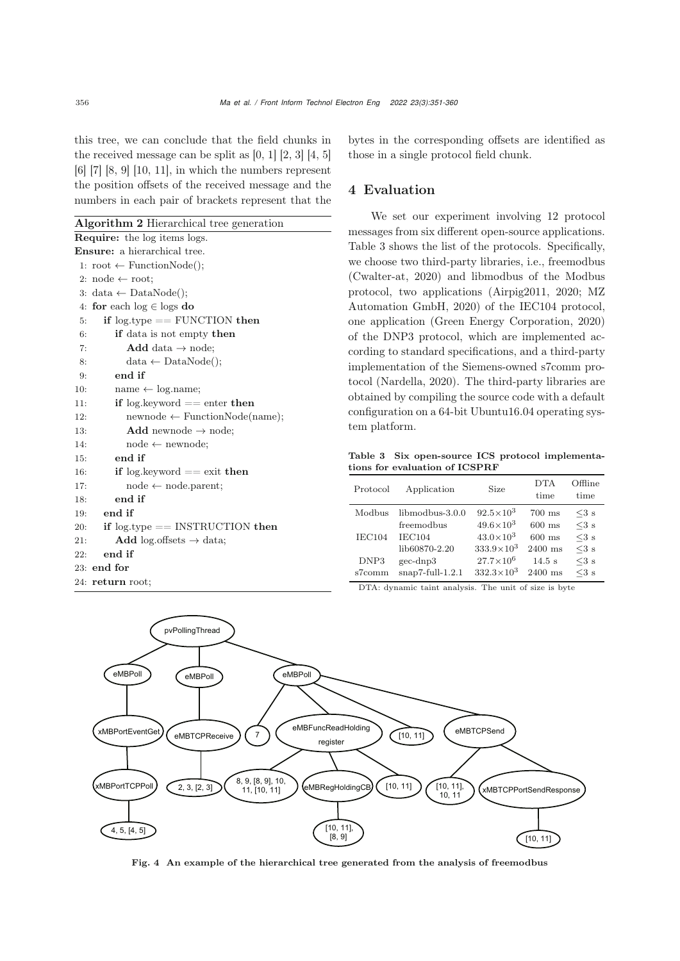this tree, we can conclude that the field chunks in the received message can be split as  $[0, 1]$   $[2, 3]$   $[4, 5]$ [6] [7] [8, 9] [10, 11], in which the numbers represent the position offsets of the received message and the numbers in each pair of brackets represent that the

Algorithm 2 Hierarchical tree generation

| <b>Require:</b> the log items logs.               |  |  |  |  |  |  |  |  |
|---------------------------------------------------|--|--|--|--|--|--|--|--|
| <b>Ensure:</b> a hierarchical tree.               |  |  |  |  |  |  |  |  |
| 1: root $\leftarrow$ Function Node();             |  |  |  |  |  |  |  |  |
| 2: node $\leftarrow$ root;                        |  |  |  |  |  |  |  |  |
| 3: data $\leftarrow$ DataNode();                  |  |  |  |  |  |  |  |  |
| 4: for each $log \in log s$ do                    |  |  |  |  |  |  |  |  |
| if $log_type == FUNCTION then$<br>5:              |  |  |  |  |  |  |  |  |
| <b>if</b> data is not empty <b>then</b><br>6:     |  |  |  |  |  |  |  |  |
| 7:<br><b>Add</b> data $\rightarrow$ node;         |  |  |  |  |  |  |  |  |
| $data \leftarrow DataNode();$<br>8:               |  |  |  |  |  |  |  |  |
| end if<br>9:                                      |  |  |  |  |  |  |  |  |
| $name \leftarrow log.name;$<br>10:                |  |  |  |  |  |  |  |  |
| if $log$ keyword $==$ enter then<br>11:           |  |  |  |  |  |  |  |  |
| $newnode \leftarrow FunctionNode(name);$<br>12:   |  |  |  |  |  |  |  |  |
| 13:<br><b>Add</b> newnode $\rightarrow$ node;     |  |  |  |  |  |  |  |  |
| 14:<br>$node \leftarrow newnode;$                 |  |  |  |  |  |  |  |  |
| end if<br>15:                                     |  |  |  |  |  |  |  |  |
| if $log$ keyword $==$ exit then<br>16:            |  |  |  |  |  |  |  |  |
| $node \leftarrow node.parent;$<br>17:             |  |  |  |  |  |  |  |  |
| end if<br>18:                                     |  |  |  |  |  |  |  |  |
| end if<br>19:                                     |  |  |  |  |  |  |  |  |
| if $log_type == INSTRUCTION$ then<br>20:          |  |  |  |  |  |  |  |  |
| <b>Add</b> log.offsets $\rightarrow$ data;<br>21: |  |  |  |  |  |  |  |  |
| end if<br>22:                                     |  |  |  |  |  |  |  |  |
| 23: end for                                       |  |  |  |  |  |  |  |  |
| 24: return root;                                  |  |  |  |  |  |  |  |  |
|                                                   |  |  |  |  |  |  |  |  |

bytes in the corresponding offsets are identified as those in a single protocol field chunk.

# 4 Evaluation

We set our experiment involving 12 protocol messages from six different open-source applications. Table 3 shows the list of the protocols. Specifically, we choose two third-party libraries, i.e., freemodbus (Cwalter-at, 2020) and libmodbus of the Modbus protocol, two applications (Airpig2011, 2020; MZ Automation GmbH, 2020) of the IEC104 protocol, one application (Green Energy Corporation, 2020) of the DNP3 protocol, which are implemented according to standard specifications, and a third-party implementation of the Siemens-owned s7comm protocol (Nardella, 2020). The third-party libraries are obtained by compiling the source code with a default configuration on a 64-bit Ubuntu16.04 operating system platform.

Table 3 Six open-source ICS protocol implementations for evaluation of ICSPRF

| Protocol | Application            | Size                | DTA<br>time | Offline<br>time |
|----------|------------------------|---------------------|-------------|-----------------|
| Modbus   | $liphmodbus-3.0.0$     | $92.5 \times 10^3$  | $700$ ms    | $<3$ s          |
|          | freemodbus             | $49.6 \times 10^3$  | $600$ ms    | $<3$ s          |
| IEC104   | <b>IEC104</b>          | $43.0 \times 10^3$  | $600$ ms    | $<$ 3 s         |
|          | lib60870-2.20          | $333.9 \times 10^3$ | $2400$ ms   | $<$ 3 s         |
| DNP3     | $\text{gec-dnp3}$      | $27.7 \times 10^6$  | $14.5$ s    | $<$ 3 s         |
| s7comm   | $snap7$ -full- $1.2.1$ | $332.3 \times 10^3$ | $2400$ ms   | $\leq$ 3 s      |

DTA: dynamic taint analysis. The unit of size is byte



Fig. 4 An example of the hierarchical tree generated from the analysis of freemodbus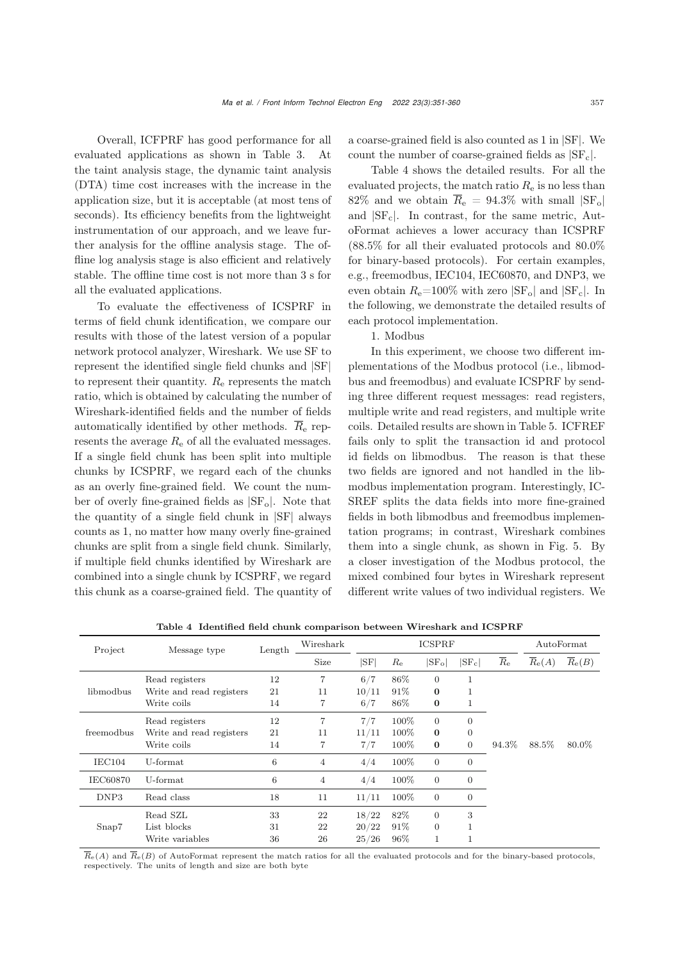Overall, ICFPRF has good performance for all evaluated applications as shown in Table 3. At the taint analysis stage, the dynamic taint analysis (DTA) time cost increases with the increase in the application size, but it is acceptable (at most tens of seconds). Its efficiency benefits from the lightweight instrumentation of our approach, and we leave further analysis for the offline analysis stage. The offline log analysis stage is also efficient and relatively stable. The offline time cost is not more than 3 s for all the evaluated applications.

To evaluate the effectiveness of ICSPRF in terms of field chunk identification, we compare our results with those of the latest version of a popular network protocol analyzer, Wireshark. We use SF to represent the identified single field chunks and |SF| to represent their quantity.  $R_{\rm e}$  represents the match ratio, which is obtained by calculating the number of Wireshark-identified fields and the number of fields automatically identified by other methods.  $\overline{R}_{e}$  represents the average  $R_{e}$  of all the evaluated messages. If a single field chunk has been split into multiple chunks by ICSPRF, we regard each of the chunks as an overly fine-grained field. We count the number of overly fine-grained fields as  $|SF_0|$ . Note that the quantity of a single field chunk in |SF| always counts as 1, no matter how many overly fine-grained chunks are split from a single field chunk. Similarly, if multiple field chunks identified by Wireshark are combined into a single chunk by ICSPRF, we regard this chunk as a coarse-grained field. The quantity of

a coarse-grained field is also counted as 1 in |SF|. We count the number of coarse-grained fields as  $|SF_c|$ .

Table 4 shows the detailed results. For all the evaluated projects, the match ratio  $R_e$  is no less than 82% and we obtain  $\overline{R}_{e} = 94.3\%$  with small  $|SF_{o}|$ and  $|SF<sub>c</sub>|$ . In contrast, for the same metric, AutoFormat achieves a lower accuracy than ICSPRF (88.5% for all their evaluated protocols and 80.0% for binary-based protocols). For certain examples, e.g., freemodbus, IEC104, IEC60870, and DNP3, we even obtain  $R_e$ =100% with zero  $|SF_o|$  and  $|SF_c|$ . In the following, we demonstrate the detailed results of each protocol implementation.

# 1. Modbus

In this experiment, we choose two different implementations of the Modbus protocol (i.e., libmodbus and freemodbus) and evaluate ICSPRF by sending three different request messages: read registers, multiple write and read registers, and multiple write coils. Detailed results are shown in Table 5. ICFREF fails only to split the transaction id and protocol id fields on libmodbus. The reason is that these two fields are ignored and not handled in the libmodbus implementation program. Interestingly, IC-SREF splits the data fields into more fine-grained fields in both libmodbus and freemodbus implementation programs; in contrast, Wireshark combines them into a single chunk, as shown in Fig. 5. By a closer investigation of the Modbus protocol, the mixed combined four bytes in Wireshark represent different write values of two individual registers. We

| Project         | Message type             | Length | Wireshark |              | <b>ICSPRF</b> |                | AutoFormat     |                             |                       |                       |
|-----------------|--------------------------|--------|-----------|--------------|---------------|----------------|----------------|-----------------------------|-----------------------|-----------------------|
|                 |                          |        | Size      | $ {\rm SF} $ | $R_{\rm e}$   | $ SF_{o} $     | $ SF_{c} $     | $\overline{R}_{\mathrm{e}}$ | $\overline{R}_{e}(A)$ | $\overline{R}_{e}(B)$ |
|                 | Read registers           | 12     | 7         | 6/7          | 86%           | $\overline{0}$ | $\mathbf{1}$   |                             |                       |                       |
| libmodbus       | Write and read registers | 21     | 11        | 10/11        | 91\%          | $\bf{0}$       | 1              |                             |                       |                       |
|                 | Write coils              | 14     | 7         | 6/7          | 86%           | $\bf{0}$       | 1              |                             |                       |                       |
|                 | Read registers           | 12     | 7         | 7/7          | 100%          | $\overline{0}$ | $\overline{0}$ |                             |                       |                       |
| freemodbus      | Write and read registers | 21     | 11        | 11/11        | 100%          | $\bf{0}$       | $\overline{0}$ |                             |                       |                       |
|                 | Write coils              | 14     |           | 7/7          | 100%          | $\bf{0}$       | $\overline{0}$ | 94.3%                       | 88.5%                 | 80.0%                 |
| IEC104          | U-format                 | $\,6$  | 4         | 4/4          | 100%          | $\overline{0}$ | $\mathbf{0}$   |                             |                       |                       |
| <b>IEC60870</b> | U-format                 | $\,6$  | 4         | 4/4          | 100%          | $\overline{0}$ | $\mathbf{0}$   |                             |                       |                       |
| DNP3            | Read class               | 18     | 11        | 11/11        | 100%          | $\overline{0}$ | $\overline{0}$ |                             |                       |                       |
|                 | Read SZL                 | 33     | 22        | 18/22        | 82%           | $\overline{0}$ | 3              |                             |                       |                       |
| Snap7           | List blocks              | 31     | 22        | 20/22        | 91%           | $\overline{0}$ | 1              |                             |                       |                       |
|                 | Write variables          | 36     | 26        | 25/26        | 96%           | $\mathbf{1}$   | 1              |                             |                       |                       |

Table 4 Identified field chunk comparison between Wireshark and ICSPRF

 $\overline{R}_{e}(A)$  and  $\overline{R}_{e}(B)$  of AutoFormat represent the match ratios for all the evaluated protocols and for the binary-based protocols, respectively. The units of length and size are both byte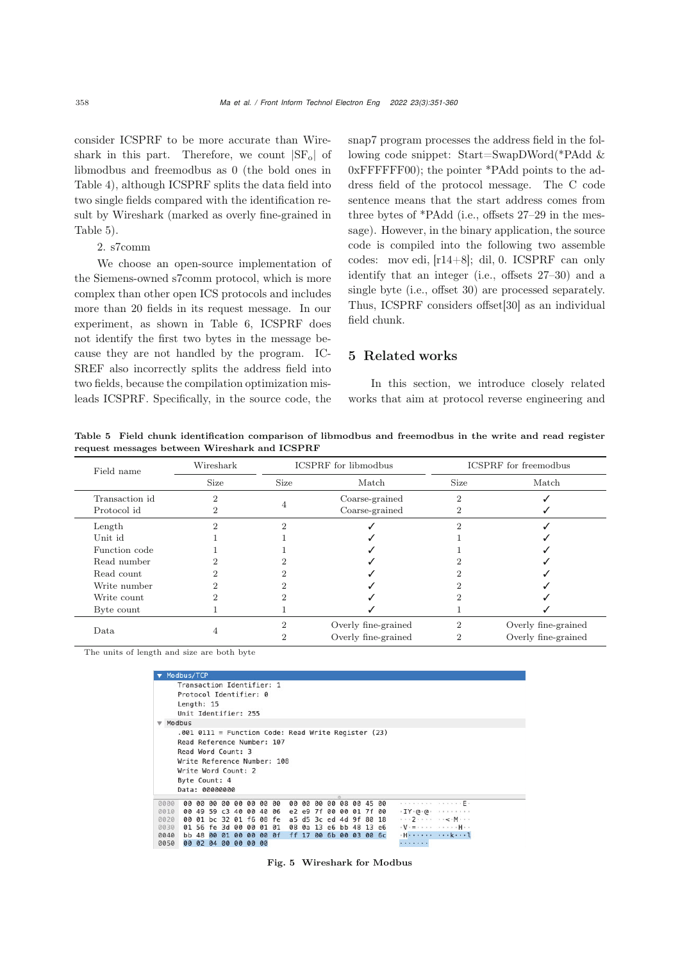consider ICSPRF to be more accurate than Wireshark in this part. Therefore, we count  $|SF_0|$  of libmodbus and freemodbus as 0 (the bold ones in Table 4), although ICSPRF splits the data field into two single fields compared with the identification result by Wireshark (marked as overly fine-grained in Table 5).

2. s7comm

We choose an open-source implementation of the Siemens-owned s7comm protocol, which is more complex than other open ICS protocols and includes more than 20 fields in its request message. In our experiment, as shown in Table 6, ICSPRF does not identify the first two bytes in the message because they are not handled by the program. IC-SREF also incorrectly splits the address field into two fields, because the compilation optimization misleads ICSPRF. Specifically, in the source code, the

snap7 program processes the address field in the following code snippet: Start=SwapDWord(\*PAdd & 0xFFFFFF00); the pointer \*PAdd points to the address field of the protocol message. The C code sentence means that the start address comes from three bytes of \*PAdd (i.e., offsets 27–29 in the message). However, in the binary application, the source code is compiled into the following two assemble codes: mov edi, [r14+8]; dil, 0. ICSPRF can only identify that an integer (i.e., offsets 27–30) and a single byte (i.e., offset 30) are processed separately. Thus, ICSPRF considers offset[30] as an individual field chunk.

# 5 Related works

In this section, we introduce closely related works that aim at protocol reverse engineering and

Table 5 Field chunk identification comparison of libmodbus and freemodbus in the write and read register request messages between Wireshark and ICSPRF

| Field name     | Wireshark |          | <b>ICSPRF</b> for libmodbus | <b>ICSPRF</b> for freemodbus |                     |  |
|----------------|-----------|----------|-----------------------------|------------------------------|---------------------|--|
|                | Size      | Size     | Match                       | <b>Size</b>                  | Match               |  |
| Transaction id |           |          | Coarse-grained              | 2                            |                     |  |
| Protocol id    |           |          | Coarse-grained              |                              |                     |  |
| Length         |           | $\Omega$ |                             |                              |                     |  |
| Unit id        |           |          |                             |                              |                     |  |
| Function code  |           |          |                             |                              |                     |  |
| Read number    |           |          |                             |                              |                     |  |
| Read count     |           |          |                             |                              |                     |  |
| Write number   |           |          |                             |                              |                     |  |
| Write count    |           |          |                             |                              |                     |  |
| Byte count     |           |          |                             |                              |                     |  |
|                |           |          | Overly fine-grained         |                              | Overly fine-grained |  |
| Data           |           |          | Overly fine-grained         | 2                            | Overly fine-grained |  |

The units of length and size are both byte

|      | Modbus/TCP                                                                                                                                                                                         |       |              |    |                         |    |                         |    |    |                         |              |             |             |  |                                                                 |
|------|----------------------------------------------------------------------------------------------------------------------------------------------------------------------------------------------------|-------|--------------|----|-------------------------|----|-------------------------|----|----|-------------------------|--------------|-------------|-------------|--|-----------------------------------------------------------------|
|      | Transaction Identifier: 1<br>Protocol Identifier: 0<br>Length: 15<br>Unit Identifier: 255                                                                                                          |       |              |    |                         |    |                         |    |    |                         |              |             |             |  |                                                                 |
|      | Modbus                                                                                                                                                                                             |       |              |    |                         |    |                         |    |    |                         |              |             |             |  |                                                                 |
|      | $.001$ 0111 = Function Code: Read Write Register (23)<br>Read Reference Number: 107<br>Read Word Count: 3<br>Write Reference Number: 108<br>Write Word Count: 2<br>Byte Count: 4<br>Data: 00000000 |       |              |    |                         |    |                         |    |    |                         |              |             |             |  |                                                                 |
| 0000 |                                                                                                                                                                                                    | 00 00 | <b>00 00</b> | 00 | 00                      | 00 | 00                      | 00 | 99 |                         | <b>00 00</b> | n           | 08 00 45 00 |  | . <b>. .</b> .                                                  |
| 0010 |                                                                                                                                                                                                    |       |              |    | 00 49 59 c3 40 00 40 06 |    |                         |    |    | e2 e9 7f 00             |              | 00 01 7f 00 |             |  |                                                                 |
| 0020 |                                                                                                                                                                                                    |       |              |    |                         |    | 00 01 bc 32 01 f6 08 fe |    |    | a5 d5 3c ed 4d 9f 80 18 |              |             |             |  | $\cdots$ 2 $\cdots$ $\cdots$ $\cdots$ $\leq$ $\cdot$ M $\cdots$ |
| 0030 |                                                                                                                                                                                                    |       |              |    | 01 56 fe 3d 00 00 01 01 |    |                         |    |    | 08 0a 13 e6 bb 48 13 e6 |              |             |             |  |                                                                 |
| 0040 |                                                                                                                                                                                                    |       |              |    | bb 48 00 01 00 00 00 0f |    |                         |    |    | ff 17 00 6b 00 03 00 6c |              |             |             |  | $H$ $\ldots$                                                    |
| 0050 | 00                                                                                                                                                                                                 |       |              |    | 02 04 00 00 00 00       |    |                         |    |    |                         |              |             |             |  | .                                                               |

Fig. 5 Wireshark for Modbus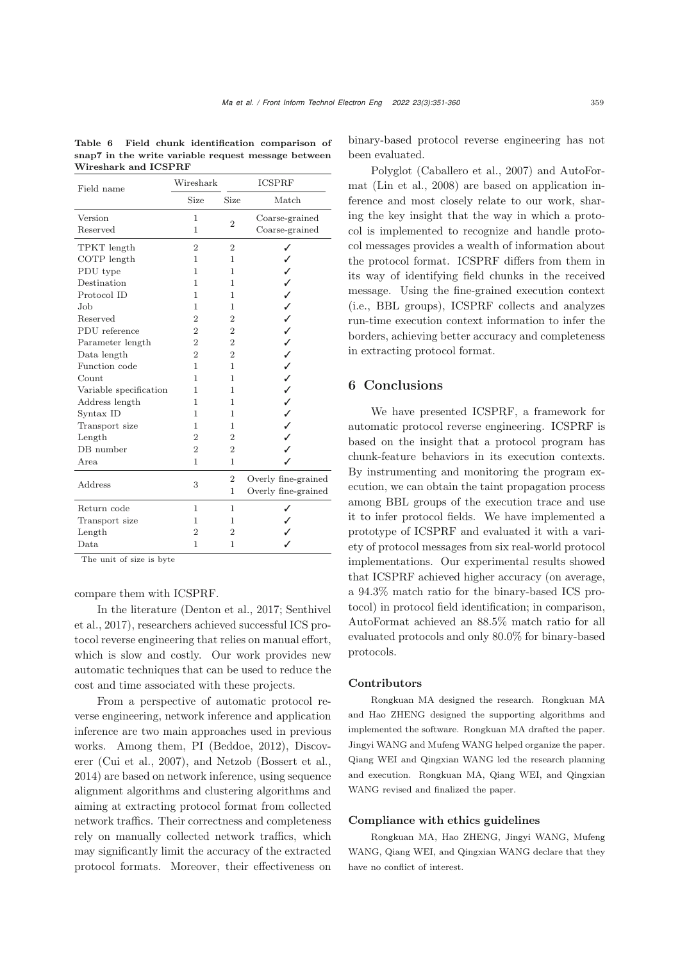| Field name             | Wireshark      | <b>ICSPRF</b>  |                     |  |  |  |
|------------------------|----------------|----------------|---------------------|--|--|--|
|                        | Size           | Size           | Match               |  |  |  |
| Version                | $\mathbf{1}$   |                | Coarse-grained      |  |  |  |
| Reserved               | $\mathbf{1}$   | $\overline{2}$ | Coarse-grained      |  |  |  |
| TPKT length            | $\overline{2}$ | $\overline{2}$ | ✓                   |  |  |  |
| COTP length            | 1              | 1              |                     |  |  |  |
| PDU type               | 1              | 1              |                     |  |  |  |
| Destination            | 1              | 1              | $\checkmark$        |  |  |  |
| Protocol ID            | 1              | 1              | $\checkmark$        |  |  |  |
| Job.                   | 1              | $\mathbf{1}$   | $\checkmark$        |  |  |  |
| Reserved               | $\overline{2}$ | $\overline{2}$ | $\checkmark$        |  |  |  |
| PDU reference          | $\overline{2}$ | $\overline{2}$ | ✓                   |  |  |  |
| Parameter length       | $\overline{2}$ | $\overline{2}$ |                     |  |  |  |
| Data length            | $\overline{2}$ | $\overline{2}$ |                     |  |  |  |
| Function code          | $\mathbf{1}$   | 1              | ノノノノノ               |  |  |  |
| Count                  | 1              | 1              |                     |  |  |  |
| Variable specification | 1              | 1              |                     |  |  |  |
| Address length         | 1              | 1              | $\checkmark$        |  |  |  |
| Syntax ID              | 1              | 1              | $\checkmark$        |  |  |  |
| Transport size         | 1              | 1              | $\mathbf{v}$        |  |  |  |
| Length                 | $\overline{2}$ | 2              | $\mathbf{r}$        |  |  |  |
| DB number              | $\overline{2}$ | $\overline{2}$ | J                   |  |  |  |
| Area                   | $\mathbf{1}$   | $\mathbf{1}$   |                     |  |  |  |
|                        |                | $\overline{2}$ | Overly fine-grained |  |  |  |
| Address                | 3              | $\mathbf{1}$   | Overly fine-grained |  |  |  |
| Return code            | 1              | 1              |                     |  |  |  |
| Transport size         | 1              | 1              |                     |  |  |  |
| Length                 | $\overline{2}$ | $\overline{2}$ |                     |  |  |  |
| Data                   | 1              | 1              |                     |  |  |  |

Table 6 Field chunk identification comparison of snap7 in the write variable request message between Wireshark and ICSPRF

The unit of size is byte

### compare them with ICSPRF.

In the literature (Denton et al., 2017; Senthivel et al., 2017), researchers achieved successful ICS protocol reverse engineering that relies on manual effort, which is slow and costly. Our work provides new automatic techniques that can be used to reduce the cost and time associated with these projects.

From a perspective of automatic protocol reverse engineering, network inference and application inference are two main approaches used in previous works. Among them, PI (Beddoe, 2012), Discoverer (Cui et al., 2007), and Netzob (Bossert et al., 2014) are based on network inference, using sequence alignment algorithms and clustering algorithms and aiming at extracting protocol format from collected network traffics. Their correctness and completeness rely on manually collected network traffics, which may significantly limit the accuracy of the extracted protocol formats. Moreover, their effectiveness on

binary-based protocol reverse engineering has not been evaluated.

Polyglot (Caballero et al., 2007) and AutoFormat (Lin et al., 2008) are based on application inference and most closely relate to our work, sharing the key insight that the way in which a protocol is implemented to recognize and handle protocol messages provides a wealth of information about the protocol format. ICSPRF differs from them in its way of identifying field chunks in the received message. Using the fine-grained execution context (i.e., BBL groups), ICSPRF collects and analyzes run-time execution context information to infer the borders, achieving better accuracy and completeness in extracting protocol format.

# 6 Conclusions

We have presented ICSPRF, a framework for automatic protocol reverse engineering. ICSPRF is based on the insight that a protocol program has chunk-feature behaviors in its execution contexts. By instrumenting and monitoring the program execution, we can obtain the taint propagation process among BBL groups of the execution trace and use it to infer protocol fields. We have implemented a prototype of ICSPRF and evaluated it with a variety of protocol messages from six real-world protocol implementations. Our experimental results showed that ICSPRF achieved higher accuracy (on average, a 94.3% match ratio for the binary-based ICS protocol) in protocol field identification; in comparison, AutoFormat achieved an 88.5% match ratio for all evaluated protocols and only 80.0% for binary-based protocols.

### Contributors

Rongkuan MA designed the research. Rongkuan MA and Hao ZHENG designed the supporting algorithms and implemented the software. Rongkuan MA drafted the paper. Jingyi WANG and Mufeng WANG helped organize the paper. Qiang WEI and Qingxian WANG led the research planning and execution. Rongkuan MA, Qiang WEI, and Qingxian WANG revised and finalized the paper.

### Compliance with ethics guidelines

Rongkuan MA, Hao ZHENG, Jingyi WANG, Mufeng WANG, Qiang WEI, and Qingxian WANG declare that they have no conflict of interest.